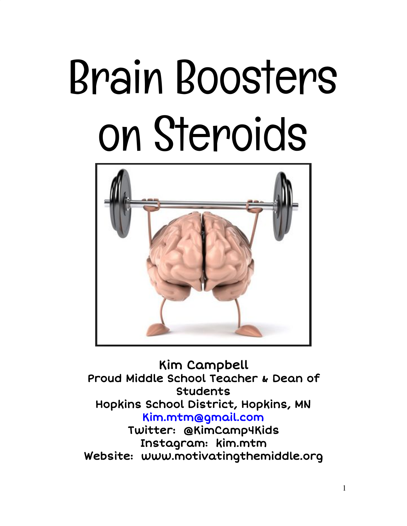# Brain Boosters on Steroids



Kim Campbell Proud Middle School Teacher & Dean of Students Hopkins School District, Hopkins, MN [Kim.mtm@gmail.com](mailto:Kim.mtm@gmail.com) Twitter: @KimCamp4Kids Instagram: kim.mtm

Website: www.motivatingthemiddle.org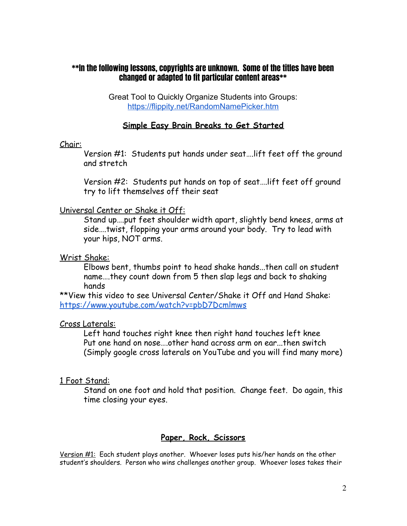# \*\*In the following lessons, copyrights are unknown. Some of the titles have been changed or adapted to fit particular content areas\*\*

Great Tool to Quickly Organize Students into Groups: <https://flippity.net/RandomNamePicker.htm>

# **Simple Easy Brain Breaks to Get Started**

## Chair:

Version #1: Students put hands under seat….lift feet off the ground and stretch

Version #2: Students put hands on top of seat….lift feet off ground try to lift themselves off their seat

## Universal Center or Shake it Off:

Stand up….put feet shoulder width apart, slightly bend knees, arms at side….twist, flopping your arms around your body. Try to lead with your hips, NOT arms.

## Wrist Shake:

Elbows bent, thumbs point to head shake hands...then call on student name….they count down from 5 then slap legs and back to shaking hands

\*\*View this video to see Universal Center/Shake it Off and Hand Shake: <https://www.youtube.com/watch?v=pbD7Dcmlmws>

## Cross Laterals:

Left hand touches right knee then right hand touches left knee Put one hand on nose….other hand across arm on ear...then switch (Simply google cross laterals on YouTube and you will find many more)

## 1 Foot Stand:

Stand on one foot and hold that position. Change feet. Do again, this time closing your eyes.

## **Paper, Rock, Scissors**

Version #1: Each student plays another. Whoever loses puts his/her hands on the other student's shoulders. Person who wins challenges another group. Whoever loses takes their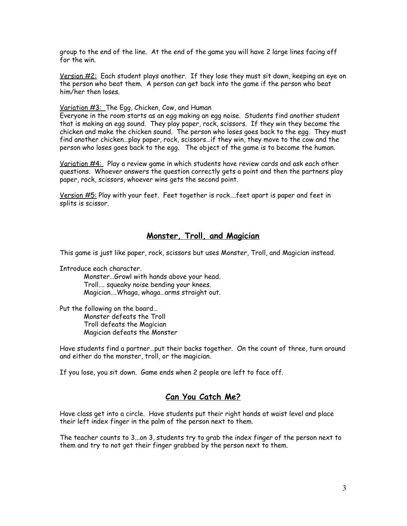group to the end of the line. At the end of the game you will have 2 large lines facing off for the win.

Version  $#2$ : Each student plays another. If they lose they must sit down, keeping an eye on the person who beat them. A person can get back into the game if the person who beat him/her then loses.

#### Variation #3: The Egg, Chicken, Cow, and Human

Everyone in the room starts as an egg making an egg noise. Students find another student that is making an egg sound. They play paper, rock, scissors. If they win they become the chicken and make the chicken sound. The person who loses goes back to the egg. They must find another chicken…play paper, rock, scissors…if they win, they move to the cow and the person who loses goes back to the egg. The object of the game is to become the human.

Variation #4: Play a review game in which students have review cards and ask each other questions. Whoever answers the question correctly gets a point and then the partners play paper, rock, scissors, whoever wins gets the second point.

Version #5: Play with your feet. Feet together is rock….feet apart is paper and feet in splits is scissor.

## **Monster, Troll, and Magician**

This game is just like paper, rock, scissors but uses Monster, Troll, and Magician instead.

Introduce each character.

Monster…Growl with hands above your head. Troll…. squeaky noise bending your knees. Magician….Whaga, whaga…arms straight out.

Put the following on the board… Monster defeats the Troll Troll defeats the Magician Magician defeats the Monster

Have students find a partner…put their backs together. On the count of three, turn around and either do the monster, troll, or the magician.

If you lose, you sit down. Game ends when 2 people are left to face off.

## **Can You Catch Me?**

Have class get into a circle. Have students put their right hands at waist level and place their left index finger in the palm of the person next to them.

The teacher counts to 3...on 3, students try to grab the index finger of the person next to them and try to not get their finger grabbed by the person next to them.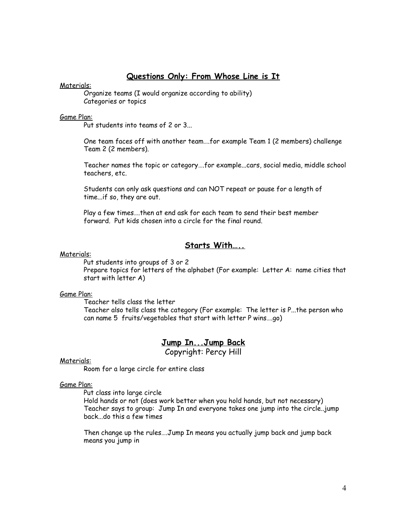## **Questions Only: From Whose Line is It**

#### Materials:

Organize teams (I would organize according to ability) Categories or topics

#### Game Plan:

Put students into teams of 2 or 3...

One team faces off with another team….for example Team 1 (2 members) challenge Team 2 (2 members).

Teacher names the topic or category….for example...cars, social media, middle school teachers, etc.

Students can only ask questions and can NOT repeat or pause for a length of time...if so, they are out.

Play a few times….then at end ask for each team to send their best member forward. Put kids chosen into a circle for the final round.

## **Starts With…..**

#### Materials:

Put students into groups of 3 or 2 Prepare topics for letters of the alphabet (For example: Letter A: name cities that start with letter A)

#### Game Plan:

Teacher tells class the letter

Teacher also tells class the category (For example: The letter is P...the person who can name 5 fruits/vegetables that start with letter P wins….go)

# **Jump In...Jump Back**

Copyright: Percy Hill

#### Materials:

Room for a large circle for entire class

#### Game Plan:

Put class into large circle

Hold hands or not (does work better when you hold hands, but not necessary) Teacher says to group: Jump In and everyone takes one jump into the circle..jump back...do this a few times

Then change up the rules….Jump In means you actually jump back and jump back means you jump in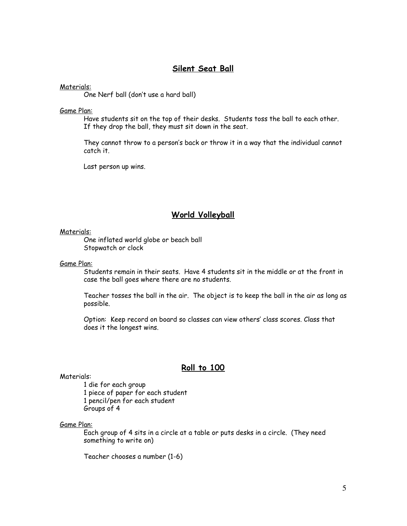## **Silent Seat Ball**

Materials:

One Nerf ball (don't use a hard ball)

Game Plan:

Have students sit on the top of their desks. Students toss the ball to each other. If they drop the ball, they must sit down in the seat.

They cannot throw to a person's back or throw it in a way that the individual cannot catch it.

Last person up wins.

# **World Volleyball**

Materials:

One inflated world globe or beach ball Stopwatch or clock

Game Plan:

Students remain in their seats. Have 4 students sit in the middle or at the front in case the ball goes where there are no students.

Teacher tosses the ball in the air. The object is to keep the ball in the air as long as possible.

Option: Keep record on board so classes can view others' class scores. Class that does it the longest wins.

## **Roll to 100**

Materials:

 die for each group piece of paper for each student pencil/pen for each student Groups of 4

#### Game Plan:

Each group of 4 sits in a circle at a table or puts desks in a circle. (They need something to write on)

Teacher chooses a number (1-6)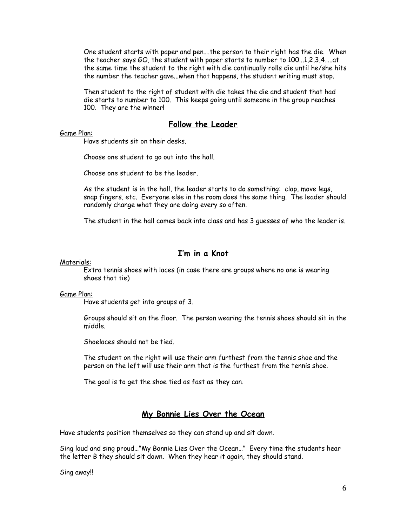One student starts with paper and pen….the person to their right has the die. When the teacher says GO, the student with paper starts to number to 100...1,2,3,4…..at the same time the student to the right with die continually rolls die until he/she hits the number the teacher gave...when that happens, the student writing must stop.

Then student to the right of student with die takes the die and student that had die starts to number to 100. This keeps going until someone in the group reaches 100. They are the winner!

# **Follow the Leader**

#### Game Plan:

Have students sit on their desks.

Choose one student to go out into the hall.

Choose one student to be the leader.

As the student is in the hall, the leader starts to do something: clap, move legs, snap fingers, etc. Everyone else in the room does the same thing. The leader should randomly change what they are doing every so often.

The student in the hall comes back into class and has 3 guesses of who the leader is.

# **I'm in a Knot**

#### Materials:

Extra tennis shoes with laces (in case there are groups where no one is wearing shoes that tie)

#### Game Plan:

Have students get into groups of 3.

Groups should sit on the floor. The person wearing the tennis shoes should sit in the middle.

Shoelaces should not be tied.

The student on the right will use their arm furthest from the tennis shoe and the person on the left will use their arm that is the furthest from the tennis shoe.

The goal is to get the shoe tied as fast as they can.

## **My Bonnie Lies Over the Ocean**

Have students position themselves so they can stand up and sit down.

Sing loud and sing proud…"My Bonnie Lies Over the Ocean…" Every time the students hear the letter B they should sit down. When they hear it again, they should stand.

Sing away!!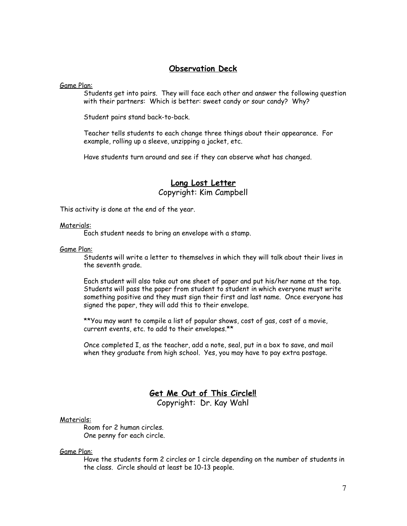## **Observation Deck**

Game Plan:

Students get into pairs. They will face each other and answer the following question with their partners: Which is better: sweet candy or sour candy? Why?

Student pairs stand back-to-back.

Teacher tells students to each change three things about their appearance. For example, rolling up a sleeve, unzipping a jacket, etc.

Have students turn around and see if they can observe what has changed.

# **Long Lost Letter** Copyright: Kim Campbell

This activity is done at the end of the year.

#### Materials:

Each student needs to bring an envelope with a stamp.

#### Game Plan:

Students will write a letter to themselves in which they will talk about their lives in the seventh grade.

Each student will also take out one sheet of paper and put his/her name at the top. Students will pass the paper from student to student in which everyone must write something positive and they must sign their first and last name. Once everyone has signed the paper, they will add this to their envelope.

\*\*You may want to compile a list of popular shows, cost of gas, cost of a movie, current events, etc. to add to their envelopes.\*\*

Once completed I, as the teacher, add a note, seal, put in a box to save, and mail when they graduate from high school. Yes, you may have to pay extra postage.

# **Get Me Out of This Circle!!**

Copyright: Dr. Kay Wahl

#### Materials:

Room for 2 human circles. One penny for each circle.

#### Game Plan:

Have the students form 2 circles or 1 circle depending on the number of students in the class. Circle should at least be 10-13 people.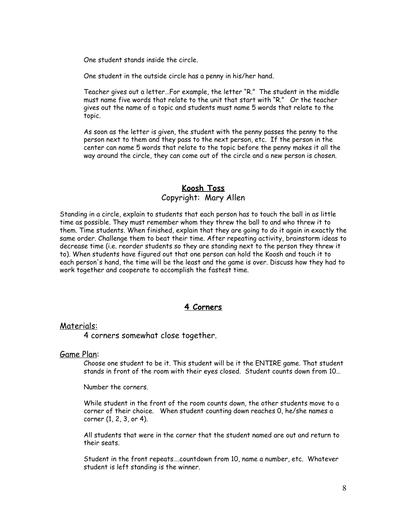One student stands inside the circle.

One student in the outside circle has a penny in his/her hand.

Teacher gives out a letter…For example, the letter "R." The student in the middle must name five words that relate to the unit that start with "R." Or the teacher gives out the name of a topic and students must name 5 words that relate to the topic.

As soon as the letter is given, the student with the penny passes the penny to the person next to them and they pass to the next person, etc. If the person in the center can name 5 words that relate to the topic before the penny makes it all the way around the circle, they can come out of the circle and a new person is chosen.

# **Koosh Toss** Copyright: Mary Allen

Standing in a circle, explain to students that each person has to touch the ball in as little time as possible. They must remember whom they threw the ball to and who threw it to them. Time students. When finished, explain that they are going to do it again in exactly the same order. Challenge them to beat their time. After repeating activity, brainstorm ideas to decrease time (i.e. reorder students so they are standing next to the person they threw it to). When students have figured out that one person can hold the Koosh and touch it to each person's hand, the time will be the least and the game is over. Discuss how they had to work together and cooperate to accomplish the fastest time.

# **4 Corners**

## Materials:

4 corners somewhat close together.

## Game Plan:

Choose one student to be it. This student will be it the ENTIRE game. That student stands in front of the room with their eyes closed. Student counts down from 10…

Number the corners.

While student in the front of the room counts down, the other students move to a corner of their choice. When student counting down reaches 0, he/she names a corner (1, 2, 3, or 4).

All students that were in the corner that the student named are out and return to their seats.

Student in the front repeats….countdown from 10, name a number, etc. Whatever student is left standing is the winner.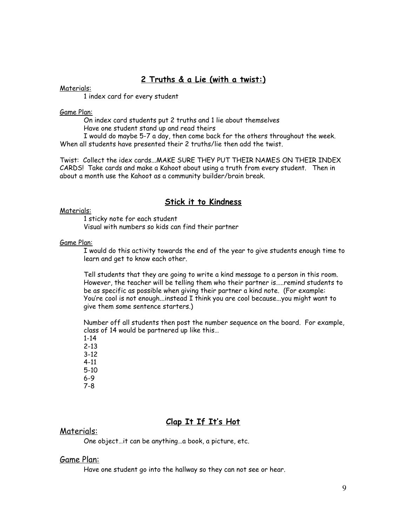# **2 Truths & a Lie (with a twist:)**

## Materials:

1 index card for every student

#### Game Plan:

On index card students put 2 truths and 1 lie about themselves Have one student stand up and read theirs

I would do maybe 5-7 a day, then come back for the others throughout the week. When all students have presented their 2 truths/lie then add the twist.

Twist: Collect the idex cards...MAKE SURE THEY PUT THEIR NAMES ON THEIR INDEX CARDS! Take cards and make a Kahoot about using a truth from every student. Then in about a month use the Kahoot as a community builder/brain break.

## **Stick it to Kindness**

#### Materials:

1 sticky note for each student Visual with numbers so kids can find their partner

#### Game Plan:

I would do this activity towards the end of the year to give students enough time to learn and get to know each other.

Tell students that they are going to write a kind message to a person in this room. However, the teacher will be telling them who their partner is…..remind students to be as specific as possible when giving their partner a kind note. (For example: You're cool is not enough...instead I think you are cool because...you might want to give them some sentence starters.)

Number off all students then post the number sequence on the board. For example, class of 14 would be partnered up like this…

1-14 2-13 3-12 4-11 5-10 6-9 7-8

# **Clap It If It's Hot**

#### Materials:

One object…it can be anything…a book, a picture, etc.

#### Game Plan:

Have one student go into the hallway so they can not see or hear.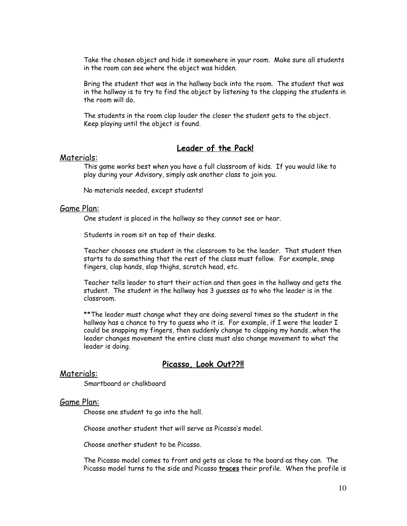Take the chosen object and hide it somewhere in your room. Make sure all students in the room can see where the object was hidden.

Bring the student that was in the hallway back into the room. The student that was in the hallway is to try to find the object by listening to the clapping the students in the room will do.

The students in the room clap louder the closer the student gets to the object. Keep playing until the object is found.

## **Leader of the Pack!**

#### Materials:

This game works best when you have a full classroom of kids. If you would like to play during your Advisory, simply ask another class to join you.

No materials needed, except students!

#### Game Plan:

One student is placed in the hallway so they cannot see or hear.

Students in room sit on top of their desks.

Teacher chooses one student in the classroom to be the leader. That student then starts to do something that the rest of the class must follow. For example, snap fingers, clap hands, slap thighs, scratch head, etc.

Teacher tells leader to start their action and then goes in the hallway and gets the student. The student in the hallway has 3 guesses as to who the leader is in the classroom.

\*\*The leader must change what they are doing several times so the student in the hallway has a chance to try to guess who it is. For example, if I were the leader I could be snapping my fingers, then suddenly change to clapping my hands…when the leader changes movement the entire class must also change movement to what the leader is doing.

## **Picasso, Look Out??!!**

## Materials:

Smartboard or chalkboard

#### Game Plan:

Choose one student to go into the hall.

Choose another student that will serve as Picasso's model.

Choose another student to be Picasso.

The Picasso model comes to front and gets as close to the board as they can. The Picasso model turns to the side and Picasso **traces** their profile. When the profile is